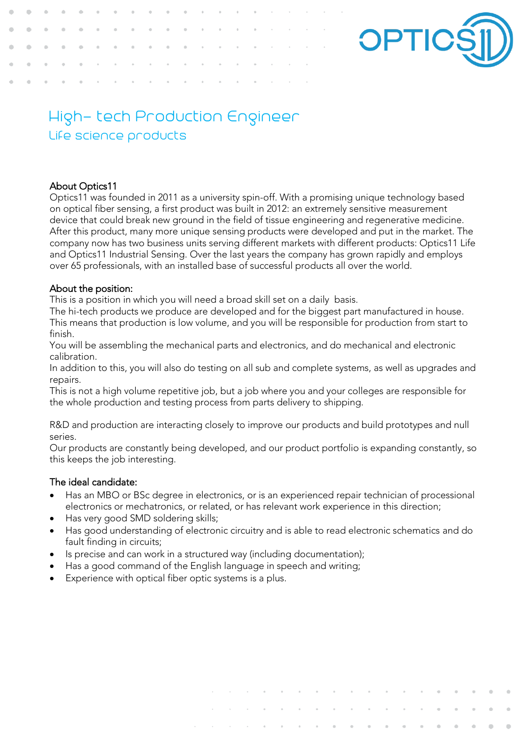

# High- tech Production Engineer Life science products

## About Optics11

Optics11 was founded in 2011 as a university spin-off. With a promising unique technology based on optical fiber sensing, a first product was built in 2012: an extremely sensitive measurement device that could break new ground in the field of tissue engineering and regenerative medicine. After this product, many more unique sensing products were developed and put in the market. The company now has two business units serving different markets with different products: Optics11 Life and Optics11 Industrial Sensing. Over the last years the company has grown rapidly and employs over 65 professionals, with an installed base of successful products all over the world.

## About the position:

This is a position in which you will need a broad skill set on a daily basis.

The hi-tech products we produce are developed and for the biggest part manufactured in house. This means that production is low volume, and you will be responsible for production from start to finish.

You will be assembling the mechanical parts and electronics, and do mechanical and electronic calibration.

In addition to this, you will also do testing on all sub and complete systems, as well as upgrades and repairs.

This is not a high volume repetitive job, but a job where you and your colleges are responsible for the whole production and testing process from parts delivery to shipping.

R&D and production are interacting closely to improve our products and build prototypes and null series.

Our products are constantly being developed, and our product portfolio is expanding constantly, so this keeps the job interesting.

## The ideal candidate:

- Has an MBO or BSc degree in electronics, or is an experienced repair technician of processional electronics or mechatronics, or related, or has relevant work experience in this direction;
- Has very good SMD soldering skills;
- Has good understanding of electronic circuitry and is able to read electronic schematics and do fault finding in circuits;
- Is precise and can work in a structured way (including documentation);
- Has a good command of the English language in speech and writing;
- Experience with optical fiber optic systems is a plus.